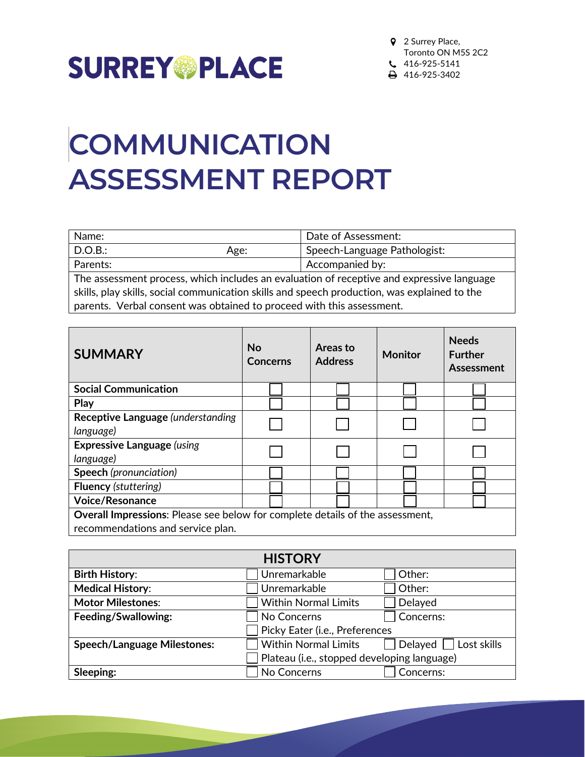

## **COMMUNICATION ASSESSMENT REPORT**

| Name:<br>Date of Assessment:                                                                 |                                                                       |                              |
|----------------------------------------------------------------------------------------------|-----------------------------------------------------------------------|------------------------------|
| D.O.B.:                                                                                      | Age:                                                                  | Speech-Language Pathologist: |
| Parents:                                                                                     |                                                                       | Accompanied by:              |
| The assessment process, which includes an evaluation of receptive and expressive language    |                                                                       |                              |
| skills, play skills, social communication skills and speech production, was explained to the |                                                                       |                              |
|                                                                                              | parents. Verbal consent was obtained to proceed with this assessment. |                              |

| <b>SUMMARY</b>                                                                       | <b>No</b><br><b>Concerns</b> | Areas to<br><b>Address</b> | <b>Monitor</b> | <b>Needs</b><br><b>Further</b><br>Assessment |
|--------------------------------------------------------------------------------------|------------------------------|----------------------------|----------------|----------------------------------------------|
| <b>Social Communication</b>                                                          |                              |                            |                |                                              |
| Play                                                                                 |                              |                            |                |                                              |
| Receptive Language (understanding                                                    |                              |                            |                |                                              |
| language)                                                                            |                              |                            |                |                                              |
| <b>Expressive Language (using</b>                                                    |                              |                            |                |                                              |
| language)                                                                            |                              |                            |                |                                              |
| <b>Speech</b> (pronunciation)                                                        |                              |                            |                |                                              |
| <b>Fluency (stuttering)</b>                                                          |                              |                            |                |                                              |
| <b>Voice/Resonance</b>                                                               |                              |                            |                |                                              |
| <b>Overall Impressions:</b> Please see below for complete details of the assessment, |                              |                            |                |                                              |
| recommendations and service plan.                                                    |                              |                            |                |                                              |

|                                    | <b>HISTORY</b>                              |                       |
|------------------------------------|---------------------------------------------|-----------------------|
| <b>Birth History:</b>              | Unremarkable                                | Other:                |
| <b>Medical History:</b>            | Unremarkable                                | Other:                |
| <b>Motor Milestones:</b>           | <b>Within Normal Limits</b>                 | Delayed               |
| Feeding/Swallowing:                | No Concerns                                 | Concerns:             |
|                                    | Picky Eater (i.e., Preferences              |                       |
| <b>Speech/Language Milestones:</b> | <b>Within Normal Limits</b>                 | Delayed   Lost skills |
|                                    | Plateau (i.e., stopped developing language) |                       |
| Sleeping:                          | No Concerns                                 | Concerns:             |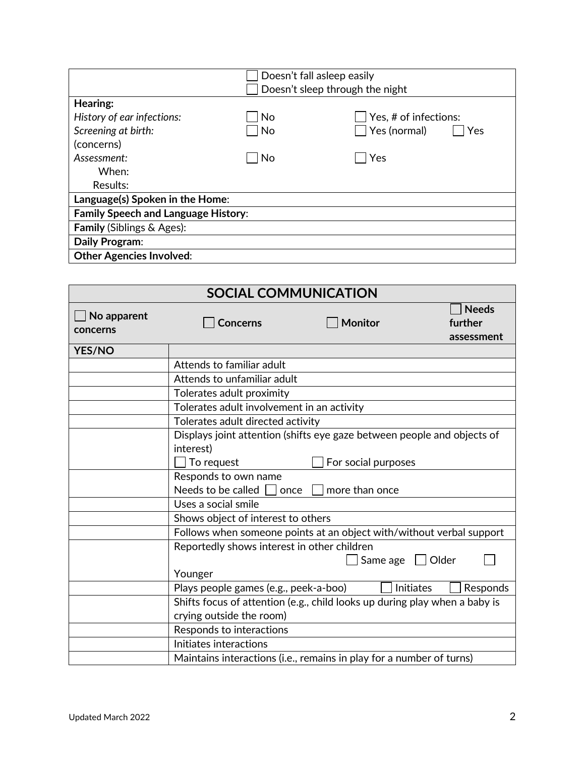|                                            | Doesn't fall asleep easily      |                       |
|--------------------------------------------|---------------------------------|-----------------------|
|                                            | Doesn't sleep through the night |                       |
| Hearing:                                   |                                 |                       |
| History of ear infections:                 | No                              | Yes, # of infections: |
| Screening at birth:                        | No                              | Yes (normal)<br>Yes   |
| (concerns)                                 |                                 |                       |
| Assessment:                                | No                              | Yes                   |
| When:                                      |                                 |                       |
| Results:                                   |                                 |                       |
| Language(s) Spoken in the Home:            |                                 |                       |
| <b>Family Speech and Language History:</b> |                                 |                       |
| <b>Family (Siblings &amp; Ages):</b>       |                                 |                       |
| Daily Program:                             |                                 |                       |
| <b>Other Agencies Involved:</b>            |                                 |                       |

|                         | <b>SOCIAL COMMUNICATION</b>                                                |                     |                                       |
|-------------------------|----------------------------------------------------------------------------|---------------------|---------------------------------------|
| No apparent<br>concerns | <b>Concerns</b>                                                            | <b>Monitor</b>      | <b>Needs</b><br>further<br>assessment |
| <b>YES/NO</b>           |                                                                            |                     |                                       |
|                         | Attends to familiar adult                                                  |                     |                                       |
|                         | Attends to unfamiliar adult                                                |                     |                                       |
|                         | Tolerates adult proximity                                                  |                     |                                       |
|                         | Tolerates adult involvement in an activity                                 |                     |                                       |
|                         | Tolerates adult directed activity                                          |                     |                                       |
|                         | Displays joint attention (shifts eye gaze between people and objects of    |                     |                                       |
|                         | interest)                                                                  |                     |                                       |
|                         | $\vert$ To request                                                         | For social purposes |                                       |
|                         | Responds to own name                                                       |                     |                                       |
|                         | Needs to be called $\Box$ once                                             | more than once      |                                       |
|                         | Uses a social smile                                                        |                     |                                       |
|                         | Shows object of interest to others                                         |                     |                                       |
|                         | Follows when someone points at an object with/without verbal support       |                     |                                       |
|                         | Reportedly shows interest in other children                                |                     |                                       |
|                         |                                                                            | Same age            | Older                                 |
|                         | Younger                                                                    |                     |                                       |
|                         | Plays people games (e.g., peek-a-boo)                                      | <b>Initiates</b>    | Responds                              |
|                         | Shifts focus of attention (e.g., child looks up during play when a baby is |                     |                                       |
|                         | crying outside the room)                                                   |                     |                                       |
|                         | Responds to interactions                                                   |                     |                                       |
|                         | Initiates interactions                                                     |                     |                                       |
|                         | Maintains interactions (i.e., remains in play for a number of turns)       |                     |                                       |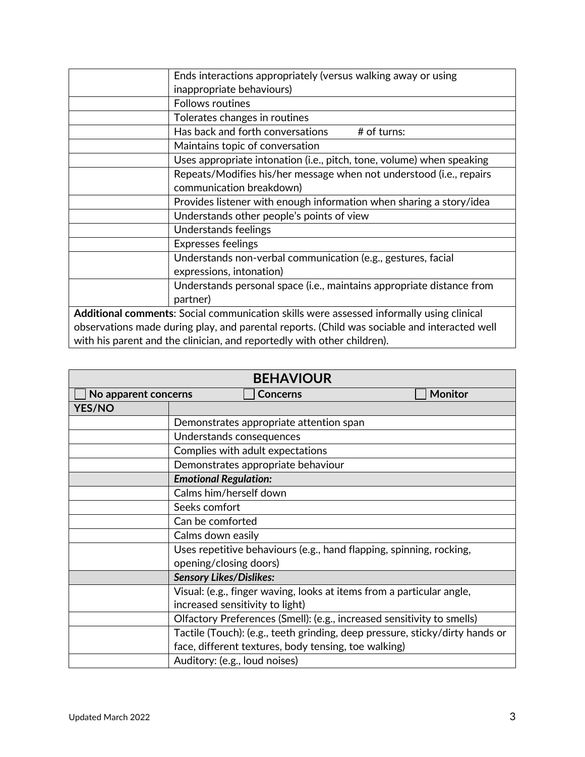| Ends interactions appropriately (versus walking away or using                                |
|----------------------------------------------------------------------------------------------|
| inappropriate behaviours)                                                                    |
| <b>Follows routines</b>                                                                      |
| Tolerates changes in routines                                                                |
| Has back and forth conversations<br># of turns:                                              |
| Maintains topic of conversation                                                              |
| Uses appropriate intonation (i.e., pitch, tone, volume) when speaking                        |
| Repeats/Modifies his/her message when not understood (i.e., repairs                          |
| communication breakdown)                                                                     |
| Provides listener with enough information when sharing a story/idea                          |
| Understands other people's points of view                                                    |
| Understands feelings                                                                         |
| <b>Expresses feelings</b>                                                                    |
| Understands non-verbal communication (e.g., gestures, facial                                 |
| expressions, intonation)                                                                     |
| Understands personal space (i.e., maintains appropriate distance from                        |
| partner)                                                                                     |
| Additional comments: Social communication skills were assessed informally using clinical     |
| observations made during play, and parental reports. (Child was sociable and interacted well |
| with his parent and the clinician, and reportedly with other children).                      |

|                      | <b>BEHAVIOUR</b>                                                             |
|----------------------|------------------------------------------------------------------------------|
| No apparent concerns | <b>Monitor</b><br><b>Concerns</b>                                            |
| <b>YES/NO</b>        |                                                                              |
|                      | Demonstrates appropriate attention span                                      |
|                      | Understands consequences                                                     |
|                      | Complies with adult expectations                                             |
|                      | Demonstrates appropriate behaviour                                           |
|                      | <b>Emotional Regulation:</b>                                                 |
|                      | Calms him/herself down                                                       |
|                      | Seeks comfort                                                                |
|                      | Can be comforted                                                             |
|                      | Calms down easily                                                            |
|                      | Uses repetitive behaviours (e.g., hand flapping, spinning, rocking,          |
|                      | opening/closing doors)                                                       |
|                      | <b>Sensory Likes/Dislikes:</b>                                               |
|                      | Visual: (e.g., finger waving, looks at items from a particular angle,        |
|                      | increased sensitivity to light)                                              |
|                      | Olfactory Preferences (Smell): (e.g., increased sensitivity to smells)       |
|                      | Tactile (Touch): (e.g., teeth grinding, deep pressure, sticky/dirty hands or |
|                      | face, different textures, body tensing, toe walking)                         |
|                      | Auditory: (e.g., loud noises)                                                |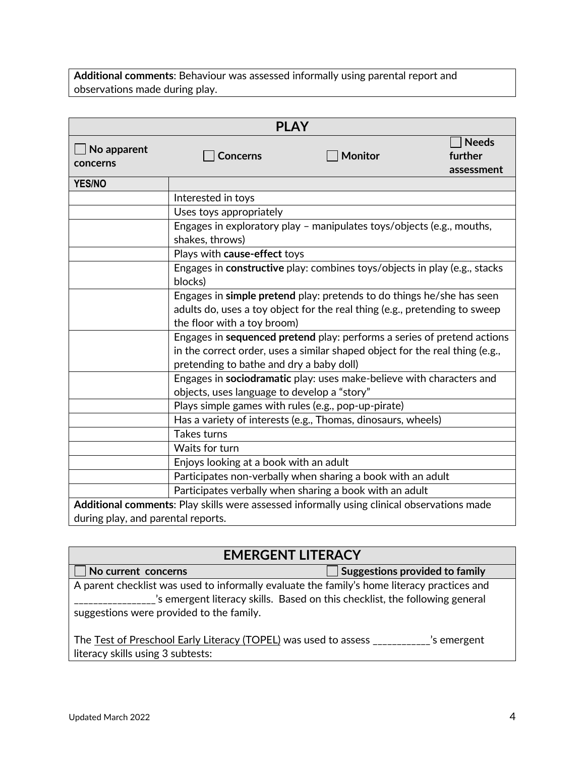**Additional comments**: Behaviour was assessed informally using parental report and observations made during play.

|                                    | <b>PLAY</b>                                         |                                                                                                                                                         |                                       |
|------------------------------------|-----------------------------------------------------|---------------------------------------------------------------------------------------------------------------------------------------------------------|---------------------------------------|
| No apparent<br>concerns            | <b>Concerns</b>                                     | <b>Monitor</b>                                                                                                                                          | <b>Needs</b><br>further<br>assessment |
| <b>YES/NO</b>                      |                                                     |                                                                                                                                                         |                                       |
|                                    | Interested in toys                                  |                                                                                                                                                         |                                       |
|                                    | Uses toys appropriately                             |                                                                                                                                                         |                                       |
|                                    | shakes, throws)                                     | Engages in exploratory play - manipulates toys/objects (e.g., mouths,                                                                                   |                                       |
|                                    | Plays with cause-effect toys                        |                                                                                                                                                         |                                       |
|                                    | blocks)                                             | Engages in constructive play: combines toys/objects in play (e.g., stacks                                                                               |                                       |
|                                    | the floor with a toy broom)                         | Engages in simple pretend play: pretends to do things he/she has seen<br>adults do, uses a toy object for the real thing (e.g., pretending to sweep     |                                       |
|                                    | pretending to bathe and dry a baby doll)            | Engages in sequenced pretend play: performs a series of pretend actions<br>in the correct order, uses a similar shaped object for the real thing (e.g., |                                       |
|                                    | objects, uses language to develop a "story"         | Engages in sociodramatic play: uses make-believe with characters and                                                                                    |                                       |
|                                    | Plays simple games with rules (e.g., pop-up-pirate) |                                                                                                                                                         |                                       |
|                                    |                                                     | Has a variety of interests (e.g., Thomas, dinosaurs, wheels)                                                                                            |                                       |
|                                    | Takes turns                                         |                                                                                                                                                         |                                       |
|                                    | Waits for turn                                      |                                                                                                                                                         |                                       |
|                                    | Enjoys looking at a book with an adult              |                                                                                                                                                         |                                       |
|                                    |                                                     | Participates non-verbally when sharing a book with an adult                                                                                             |                                       |
|                                    |                                                     | Participates verbally when sharing a book with an adult                                                                                                 |                                       |
|                                    |                                                     | Additional comments: Play skills were assessed informally using clinical observations made                                                              |                                       |
| during play, and parental reports. |                                                     |                                                                                                                                                         |                                       |

| <b>EMERGENT LITERACY</b>                                                                                                                |                                                                             |
|-----------------------------------------------------------------------------------------------------------------------------------------|-----------------------------------------------------------------------------|
| No current concerns                                                                                                                     | $\Box$ Suggestions provided to family                                       |
| A parent checklist was used to informally evaluate the family's home literacy practices and<br>suggestions were provided to the family. | 's emergent literacy skills. Based on this checklist, the following general |
| The Test of Preschool Early Literacy (TOPEL) was used to assess ___<br>literacy skills using 3 subtests:                                | s emergent'                                                                 |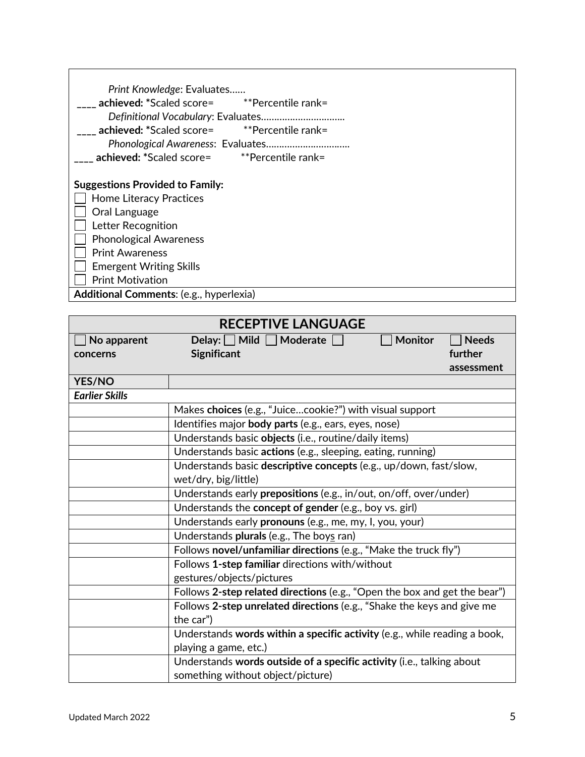| Print Knowledge: Evaluates                     |
|------------------------------------------------|
| achieved: *Scaled score= **Percentile rank=    |
|                                                |
| achieved: *Scaled score=<br>**Percentile rank= |
|                                                |
| achieved: *Scaled score=<br>**Percentile rank= |
|                                                |
| <b>Suggestions Provided to Family:</b>         |
| <b>Home Literacy Practices</b>                 |
| Oral Language                                  |
| Letter Recognition                             |
| <b>Phonological Awareness</b>                  |
| <b>Print Awareness</b>                         |
| <b>Emergent Writing Skills</b>                 |
| <b>Print Motivation</b>                        |
| Additional Comments: (e.g., hyperlexia)        |

|                       | <b>RECEPTIVE LANGUAGE</b>                                                 |                |              |
|-----------------------|---------------------------------------------------------------------------|----------------|--------------|
| No apparent           | Delay: $\Box$ Mild $\Box$ Moderate                                        | <b>Monitor</b> | <b>Needs</b> |
| concerns              | <b>Significant</b>                                                        |                | further      |
|                       |                                                                           |                | assessment   |
| <b>YES/NO</b>         |                                                                           |                |              |
| <b>Earlier Skills</b> |                                                                           |                |              |
|                       | Makes choices (e.g., "Juicecookie?") with visual support                  |                |              |
|                       | Identifies major body parts (e.g., ears, eyes, nose)                      |                |              |
|                       | Understands basic objects (i.e., routine/daily items)                     |                |              |
|                       | Understands basic actions (e.g., sleeping, eating, running)               |                |              |
|                       | Understands basic descriptive concepts (e.g., up/down, fast/slow,         |                |              |
|                       | wet/dry, big/little)                                                      |                |              |
|                       | Understands early prepositions (e.g., in/out, on/off, over/under)         |                |              |
|                       | Understands the concept of gender (e.g., boy vs. girl)                    |                |              |
|                       | Understands early pronouns (e.g., me, my, I, you, your)                   |                |              |
|                       | Understands plurals (e.g., The boys ran)                                  |                |              |
|                       | Follows novel/unfamiliar directions (e.g., "Make the truck fly")          |                |              |
|                       | Follows 1-step familiar directions with/without                           |                |              |
|                       | gestures/objects/pictures                                                 |                |              |
|                       | Follows 2-step related directions (e.g., "Open the box and get the bear") |                |              |
|                       | Follows 2-step unrelated directions (e.g., "Shake the keys and give me    |                |              |
|                       | the car")                                                                 |                |              |
|                       | Understands words within a specific activity (e.g., while reading a book, |                |              |
|                       | playing a game, etc.)                                                     |                |              |
|                       | Understands words outside of a specific activity (i.e., talking about     |                |              |
|                       | something without object/picture)                                         |                |              |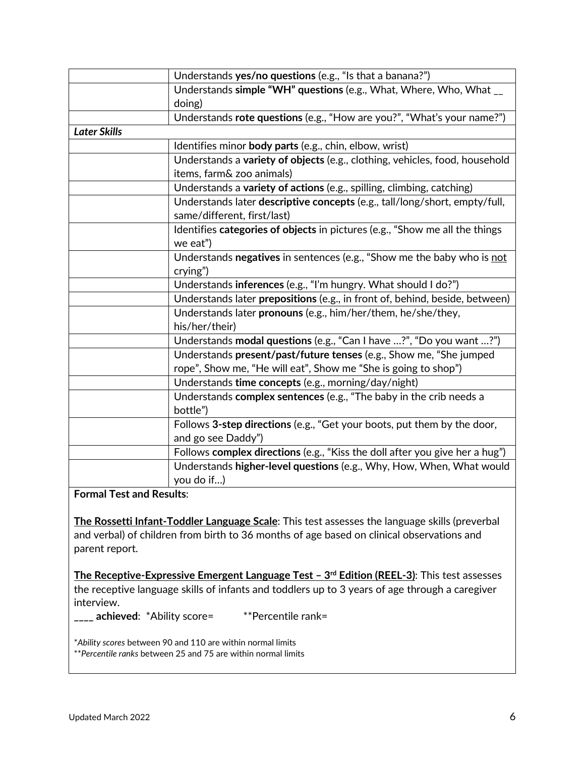|                     | Understands yes/no questions (e.g., "Is that a banana?")                           |
|---------------------|------------------------------------------------------------------------------------|
|                     | Understands simple "WH" questions (e.g., What, Where, Who, What __                 |
|                     | doing)                                                                             |
|                     | Understands rote questions (e.g., "How are you?", "What's your name?")             |
| <b>Later Skills</b> |                                                                                    |
|                     | Identifies minor body parts (e.g., chin, elbow, wrist)                             |
|                     | Understands a variety of objects (e.g., clothing, vehicles, food, household        |
|                     | items, farm& zoo animals)                                                          |
|                     | Understands a variety of actions (e.g., spilling, climbing, catching)              |
|                     | Understands later descriptive concepts (e.g., tall/long/short, empty/full,         |
|                     | same/different, first/last)                                                        |
|                     | Identifies categories of objects in pictures (e.g., "Show me all the things        |
|                     | we eat")                                                                           |
|                     | Understands negatives in sentences (e.g., "Show me the baby who is not             |
|                     | crying")                                                                           |
|                     |                                                                                    |
|                     | Understands inferences (e.g., "I'm hungry. What should I do?")                     |
|                     | Understands later prepositions (e.g., in front of, behind, beside, between)        |
|                     | Understands later pronouns (e.g., him/her/them, he/she/they,                       |
|                     | his/her/their)                                                                     |
|                     | Understands modal questions (e.g., "Can I have ?", "Do you want ?")                |
|                     | Understands present/past/future tenses (e.g., Show me, "She jumped                 |
|                     | rope", Show me, "He will eat", Show me "She is going to shop")                     |
|                     | Understands time concepts (e.g., morning/day/night)                                |
|                     | Understands complex sentences (e.g., "The baby in the crib needs a                 |
|                     | bottle")                                                                           |
|                     | Follows 3-step directions (e.g., "Get your boots, put them by the door,            |
|                     | and go see Daddy")                                                                 |
|                     | Follows complex directions (e.g., "Kiss the doll after you give her a hug")        |
|                     | Understands higher-level questions (e.g., Why, How, When, What would<br>you do if) |

## **Formal Test and Results**:

**The Rossetti Infant-Toddler Language Scale**: This test assesses the language skills (preverbal and verbal) of children from birth to 36 months of age based on clinical observations and parent report.

**The Receptive-Expressive Emergent Language Test – 3rd Edition (REEL-3)**: This test assesses the receptive language skills of infants and toddlers up to 3 years of age through a caregiver interview.

**\_\_\_\_ achieved**: \*Ability score= \*\*Percentile rank=

\**Ability scores* between 90 and 110 are within normal limits \*\**Percentile ranks* between 25 and 75 are within normal limits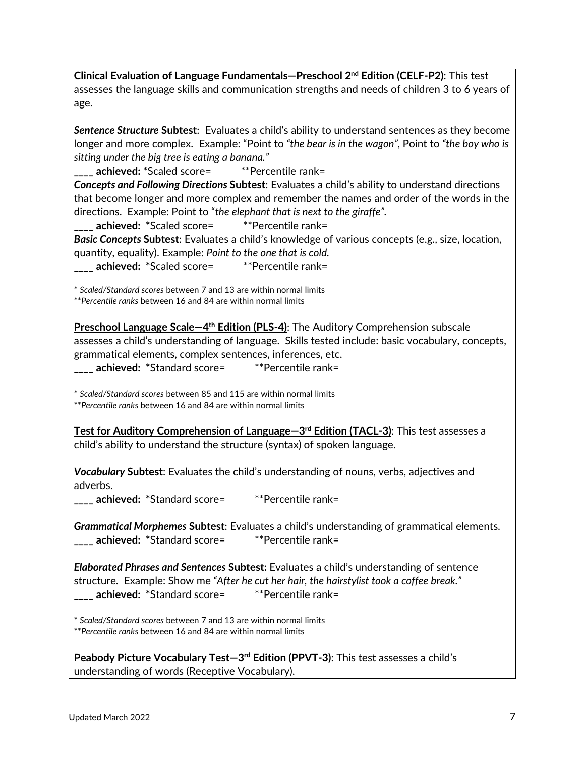**Clinical Evaluation of Language Fundamentals—Preschool 2nd Edition (CELF-P2)**: This test assesses the language skills and communication strengths and needs of children 3 to 6 years of age.

*Sentence Structure* **Subtest**: Evaluates a child's ability to understand sentences as they become longer and more complex. Example: "Point to *"the bear is in the wagon",* Point to *"the boy who is sitting under the big tree is eating a banana."*

**\_\_\_\_ achieved: \***Scaled score= \*\*Percentile rank=

*Concepts and Following Directions* **Subtest**: Evaluates a child's ability to understand directions that become longer and more complex and remember the names and order of the words in the directions. Example: Point to "*the elephant that is next to the giraffe".*

**\_\_\_\_ achieved: \***Scaled score= \*\*Percentile rank=

*Basic Concepts* **Subtest**: Evaluates a child's knowledge of various concepts (e.g., size, location, quantity, equality). Example: *Point to the one that is cold.*

**\_\_\_\_ achieved: \***Scaled score= \*\*Percentile rank=

\* *Scaled/Standard scores* between 7 and 13 are within normal limits

\*\**Percentile ranks* between 16 and 84 are within normal limits

**Preschool Language Scale—4th Edition (PLS-4)**: The Auditory Comprehension subscale assesses a child's understanding of language. Skills tested include: basic vocabulary, concepts, grammatical elements, complex sentences, inferences, etc.

**\_\_\_\_ achieved: \***Standard score= \*\*Percentile rank=

\* *Scaled/Standard scores* between 85 and 115 are within normal limits \*\**Percentile ranks* between 16 and 84 are within normal limits

**Test for Auditory Comprehension of Language—3rd Edition (TACL-3)**: This test assesses a child's ability to understand the structure (syntax) of spoken language.

*Vocabulary* **Subtest**: Evaluates the child's understanding of nouns, verbs, adjectives and adverbs.

**\_\_\_\_ achieved: \***Standard score= \*\*Percentile rank=

*Grammatical Morphemes* **Subtest**: Evaluates a child's understanding of grammatical elements. **\_\_\_\_ achieved: \***Standard score= \*\*Percentile rank=

*Elaborated Phrases and Sentences* **Subtest:** Evaluates a child's understanding of sentence structure. Example: Show me *"After he cut her hair, the hairstylist took a coffee break."* **\_\_\_\_ achieved: \***Standard score= \*\*Percentile rank=

\* *Scaled/Standard scores* between 7 and 13 are within normal limits \*\**Percentile ranks* between 16 and 84 are within normal limits

**Peabody Picture Vocabulary Test—3rd Edition (PPVT-3)**: This test assesses a child's understanding of words (Receptive Vocabulary).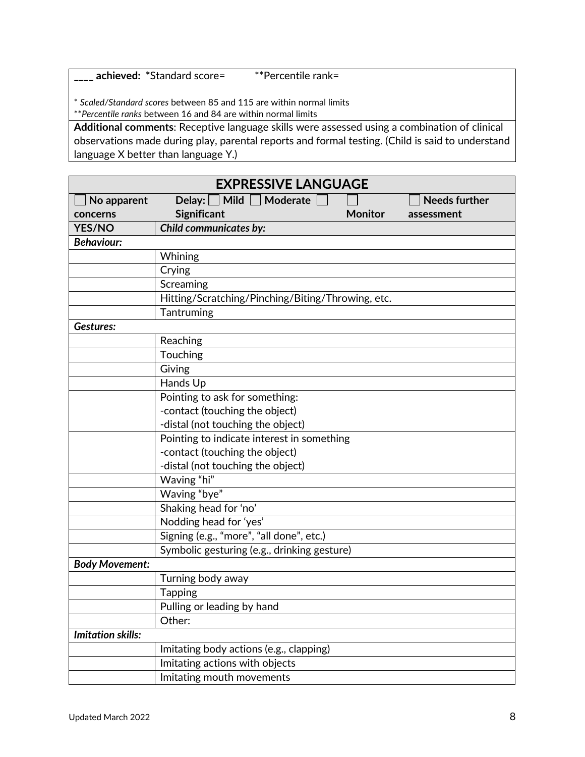**\_\_\_\_ achieved: \***Standard score= \*\*Percentile rank=

\* *Scaled/Standard scores* between 85 and 115 are within normal limits

\*\**Percentile ranks* between 16 and 84 are within normal limits

**Additional comments**: Receptive language skills were assessed using a combination of clinical observations made during play, parental reports and formal testing. (Child is said to understand language X better than language Y.)

| <b>EXPRESSIVE LANGUAGE</b> |                                                               |  |  |
|----------------------------|---------------------------------------------------------------|--|--|
| No apparent                | Delay: $\Box$ Mild $\Box$<br>Moderate<br><b>Needs further</b> |  |  |
| concerns                   | Significant<br><b>Monitor</b><br>assessment                   |  |  |
| <b>YES/NO</b>              | <b>Child communicates by:</b>                                 |  |  |
| <b>Behaviour:</b>          |                                                               |  |  |
|                            | Whining                                                       |  |  |
|                            | Crying                                                        |  |  |
|                            | Screaming                                                     |  |  |
|                            | Hitting/Scratching/Pinching/Biting/Throwing, etc.             |  |  |
|                            | Tantruming                                                    |  |  |
| Gestures:                  |                                                               |  |  |
|                            | Reaching                                                      |  |  |
|                            | Touching                                                      |  |  |
|                            | Giving                                                        |  |  |
|                            | Hands Up                                                      |  |  |
|                            | Pointing to ask for something:                                |  |  |
|                            | -contact (touching the object)                                |  |  |
|                            | -distal (not touching the object)                             |  |  |
|                            | Pointing to indicate interest in something                    |  |  |
|                            | -contact (touching the object)                                |  |  |
|                            | -distal (not touching the object)                             |  |  |
|                            | Waving "hi"                                                   |  |  |
|                            | Waving "bye"                                                  |  |  |
|                            | Shaking head for 'no'                                         |  |  |
|                            | Nodding head for 'yes'                                        |  |  |
|                            | Signing (e.g., "more", "all done", etc.)                      |  |  |
|                            | Symbolic gesturing (e.g., drinking gesture)                   |  |  |
| <b>Body Movement:</b>      |                                                               |  |  |
|                            | Turning body away                                             |  |  |
|                            | <b>Tapping</b>                                                |  |  |
|                            | Pulling or leading by hand                                    |  |  |
|                            | Other:                                                        |  |  |
| <b>Imitation skills:</b>   |                                                               |  |  |
|                            | Imitating body actions (e.g., clapping)                       |  |  |
|                            | Imitating actions with objects                                |  |  |
|                            | Imitating mouth movements                                     |  |  |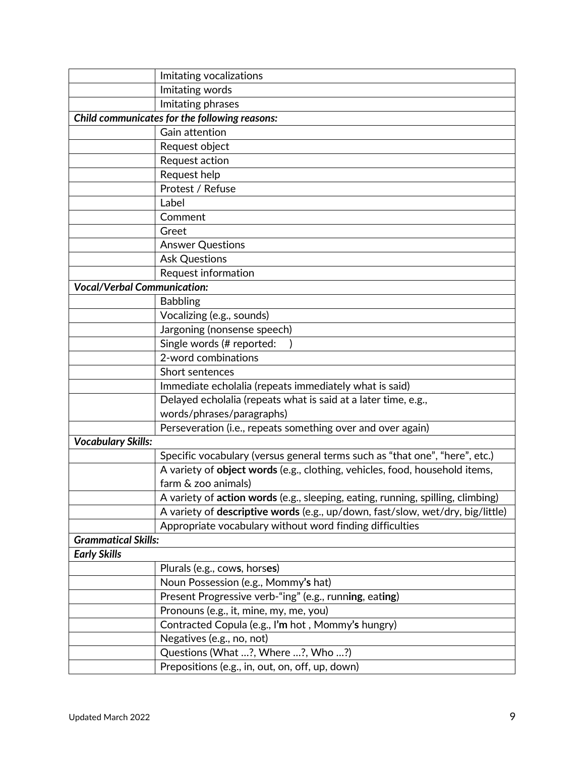|                                    | Imitating vocalizations                                                         |  |  |
|------------------------------------|---------------------------------------------------------------------------------|--|--|
|                                    | Imitating words                                                                 |  |  |
|                                    | Imitating phrases                                                               |  |  |
|                                    | Child communicates for the following reasons:                                   |  |  |
|                                    | Gain attention                                                                  |  |  |
|                                    | Request object                                                                  |  |  |
|                                    | Request action                                                                  |  |  |
|                                    | Request help                                                                    |  |  |
|                                    | Protest / Refuse                                                                |  |  |
|                                    | Label                                                                           |  |  |
|                                    | Comment                                                                         |  |  |
|                                    | Greet                                                                           |  |  |
|                                    | <b>Answer Questions</b>                                                         |  |  |
|                                    | <b>Ask Questions</b>                                                            |  |  |
|                                    | Request information                                                             |  |  |
| <b>Vocal/Verbal Communication:</b> |                                                                                 |  |  |
|                                    | <b>Babbling</b>                                                                 |  |  |
|                                    | Vocalizing (e.g., sounds)                                                       |  |  |
|                                    | Jargoning (nonsense speech)                                                     |  |  |
|                                    | Single words (# reported:                                                       |  |  |
|                                    | 2-word combinations                                                             |  |  |
|                                    | Short sentences                                                                 |  |  |
|                                    | Immediate echolalia (repeats immediately what is said)                          |  |  |
|                                    | Delayed echolalia (repeats what is said at a later time, e.g.,                  |  |  |
|                                    | words/phrases/paragraphs)                                                       |  |  |
|                                    | Perseveration (i.e., repeats something over and over again)                     |  |  |
| <b>Vocabulary Skills:</b>          |                                                                                 |  |  |
|                                    | Specific vocabulary (versus general terms such as "that one", "here", etc.)     |  |  |
|                                    | A variety of object words (e.g., clothing, vehicles, food, household items,     |  |  |
|                                    | farm & zoo animals)                                                             |  |  |
|                                    | A variety of action words (e.g., sleeping, eating, running, spilling, climbing) |  |  |
|                                    | A variety of descriptive words (e.g., up/down, fast/slow, wet/dry, big/little)  |  |  |
|                                    | Appropriate vocabulary without word finding difficulties                        |  |  |
| <b>Grammatical Skills:</b>         |                                                                                 |  |  |
| <b>Early Skills</b>                |                                                                                 |  |  |
|                                    | Plurals (e.g., cows, horses)                                                    |  |  |
|                                    | Noun Possession (e.g., Mommy's hat)                                             |  |  |
|                                    | Present Progressive verb-"ing" (e.g., running, eating)                          |  |  |
|                                    | Pronouns (e.g., it, mine, my, me, you)                                          |  |  |
|                                    | Contracted Copula (e.g., I'm hot, Mommy's hungry)                               |  |  |
|                                    | Negatives (e.g., no, not)                                                       |  |  |
|                                    | Questions (What ?, Where ?, Who ?)                                              |  |  |
|                                    | Prepositions (e.g., in, out, on, off, up, down)                                 |  |  |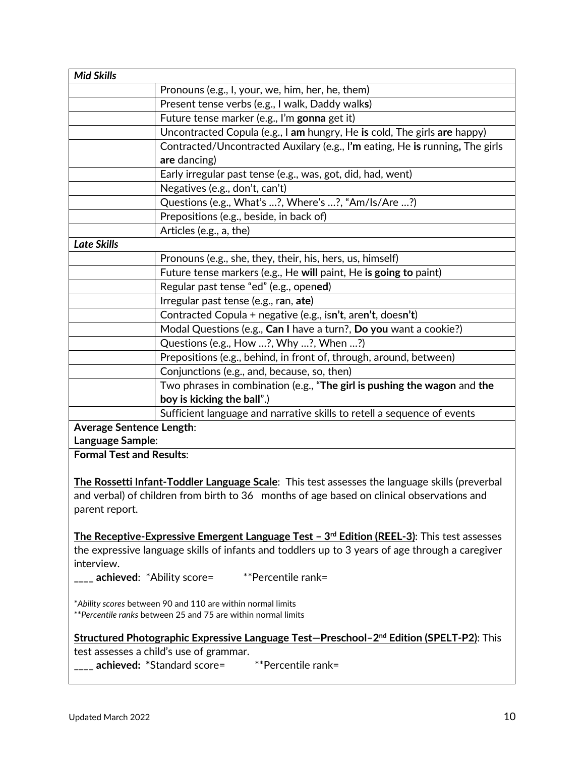| <b>Mid Skills</b>                                                                                                             |                                                                                                     |  |
|-------------------------------------------------------------------------------------------------------------------------------|-----------------------------------------------------------------------------------------------------|--|
|                                                                                                                               | Pronouns (e.g., I, your, we, him, her, he, them)                                                    |  |
|                                                                                                                               | Present tense verbs (e.g., I walk, Daddy walks)                                                     |  |
|                                                                                                                               | Future tense marker (e.g., I'm gonna get it)                                                        |  |
|                                                                                                                               | Uncontracted Copula (e.g., I am hungry, He is cold, The girls are happy)                            |  |
|                                                                                                                               | Contracted/Uncontracted Auxilary (e.g., I'm eating, He is running, The girls                        |  |
|                                                                                                                               | are dancing)                                                                                        |  |
|                                                                                                                               | Early irregular past tense (e.g., was, got, did, had, went)                                         |  |
|                                                                                                                               | Negatives (e.g., don't, can't)                                                                      |  |
|                                                                                                                               | Questions (e.g., What's ?, Where's ?, "Am/Is/Are ?)                                                 |  |
|                                                                                                                               | Prepositions (e.g., beside, in back of)                                                             |  |
|                                                                                                                               | Articles (e.g., a, the)                                                                             |  |
| <b>Late Skills</b>                                                                                                            |                                                                                                     |  |
|                                                                                                                               | Pronouns (e.g., she, they, their, his, hers, us, himself)                                           |  |
|                                                                                                                               | Future tense markers (e.g., He will paint, He is going to paint)                                    |  |
|                                                                                                                               | Regular past tense "ed" (e.g., opened)                                                              |  |
|                                                                                                                               | Irregular past tense (e.g., ran, ate)                                                               |  |
|                                                                                                                               | Contracted Copula + negative (e.g., isn't, aren't, doesn't)                                         |  |
|                                                                                                                               | Modal Questions (e.g., Can I have a turn?, Do you want a cookie?)                                   |  |
|                                                                                                                               | Questions (e.g., How ?, Why ?, When ?)                                                              |  |
|                                                                                                                               | Prepositions (e.g., behind, in front of, through, around, between)                                  |  |
|                                                                                                                               | Conjunctions (e.g., and, because, so, then)                                                         |  |
|                                                                                                                               | Two phrases in combination (e.g., "The girl is pushing the wagon and the                            |  |
|                                                                                                                               | boy is kicking the ball".)                                                                          |  |
|                                                                                                                               | Sufficient language and narrative skills to retell a sequence of events                             |  |
| <b>Average Sentence Length:</b>                                                                                               |                                                                                                     |  |
| Language Sample:                                                                                                              |                                                                                                     |  |
| <b>Formal Test and Results:</b>                                                                                               |                                                                                                     |  |
|                                                                                                                               |                                                                                                     |  |
|                                                                                                                               | The Rossetti Infant-Toddler Language Scale: This test assesses the language skills (preverbal       |  |
|                                                                                                                               | and verbal) of children from birth to 36 months of age based on clinical observations and           |  |
| parent report.                                                                                                                |                                                                                                     |  |
|                                                                                                                               |                                                                                                     |  |
|                                                                                                                               | The Receptive-Expressive Emergent Language Test - 3rd Edition (REEL-3): This test assesses          |  |
|                                                                                                                               | the expressive language skills of infants and toddlers up to 3 years of age through a caregiver     |  |
| interview.                                                                                                                    |                                                                                                     |  |
|                                                                                                                               |                                                                                                     |  |
|                                                                                                                               |                                                                                                     |  |
| *Ability scores between 90 and 110 are within normal limits<br>** Percentile ranks between 25 and 75 are within normal limits |                                                                                                     |  |
|                                                                                                                               |                                                                                                     |  |
|                                                                                                                               | Structured Photographic Expressive Language Test-Preschool-2 <sup>nd</sup> Edition (SPELT-P2): This |  |
|                                                                                                                               | test assesses a child's use of grammar.                                                             |  |
|                                                                                                                               | ____ achieved: *Standard score=<br>**Percentile rank=                                               |  |
|                                                                                                                               |                                                                                                     |  |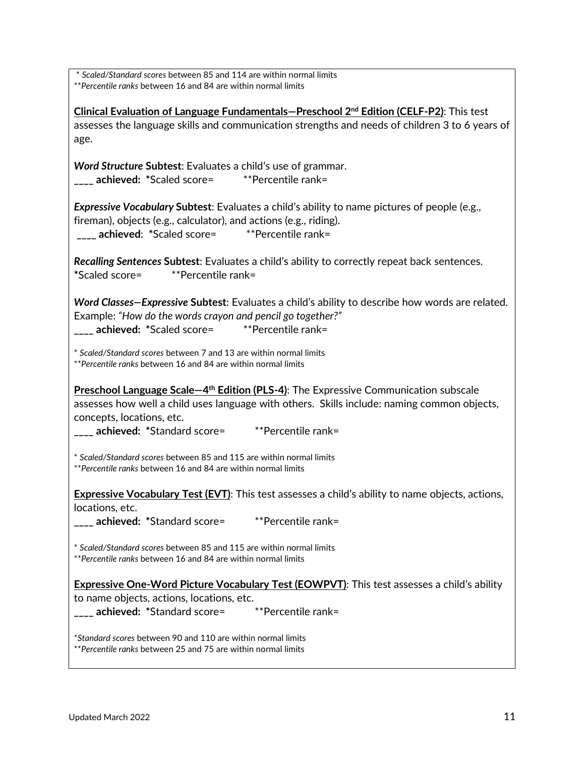\* *Scaled/Standard scores* between 85 and 114 are within normal limits \*\**Percentile ranks* between 16 and 84 are within normal limits

**Clinical Evaluation of Language Fundamentals—Preschool 2nd Edition (CELF-P2)**: This test assesses the language skills and communication strengths and needs of children 3 to 6 years of age.

*Word Structure* **Subtest**: Evaluates a child's use of grammar. **\_\_\_\_ achieved: \***Scaled score= \*\*Percentile rank=

*Expressive Vocabulary* **Subtest**: Evaluates a child's ability to name pictures of people (e.g., fireman), objects (e.g., calculator), and actions (e.g., riding). **\_\_\_\_ achieved**: **\***Scaled score= \*\*Percentile rank=

*Recalling Sentences* **Subtest**: Evaluates a child's ability to correctly repeat back sentences. **\***Scaled score= \*\*Percentile rank=

*Word Classes—Expressive* **Subtest**: Evaluates a child's ability to describe how words are related. Example: *"How do the words crayon and pencil go together?"*

**\_\_\_\_ achieved: \***Scaled score= \*\*Percentile rank=

\* *Scaled/Standard scores* between 7 and 13 are within normal limits \*\**Percentile ranks* between 16 and 84 are within normal limits

**Preschool Language Scale–4<sup>th</sup> Edition (PLS-4):** The Expressive Communication subscale assesses how well a child uses language with others. Skills include: naming common objects, concepts, locations, etc.

**\_\_\_\_ achieved: \***Standard score= \*\*Percentile rank=

\* *Scaled/Standard scores* between 85 and 115 are within normal limits \*\**Percentile ranks* between 16 and 84 are within normal limits

**Expressive Vocabulary Test (EVT)**: This test assesses a child's ability to name objects, actions, locations, etc.

**\_\_\_\_ achieved: \***Standard score= \*\*Percentile rank=

\* *Scaled/Standard scores* between 85 and 115 are within normal limits \*\**Percentile ranks* between 16 and 84 are within normal limits

**Expressive One-Word Picture Vocabulary Test (EOWPVT)**: This test assesses a child's ability to name objects, actions, locations, etc. **\_\_\_\_ achieved: \***Standard score= \*\*Percentile rank=

\**Standard scores* between 90 and 110 are within normal limits \*\**Percentile ranks* between 25 and 75 are within normal limits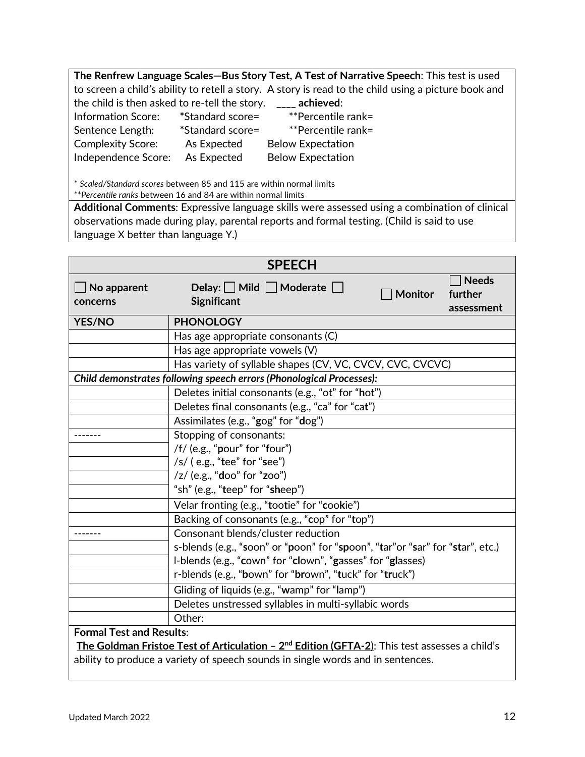| The Renfrew Language Scales-Bus Story Test, A Test of Narrative Speech: This test is used            |                  |                          |  |
|------------------------------------------------------------------------------------------------------|------------------|--------------------------|--|
| to screen a child's ability to retell a story. A story is read to the child using a picture book and |                  |                          |  |
| the child is then asked to re-tell the story.<br>achieved:                                           |                  |                          |  |
| Information Score:                                                                                   | *Standard score= | **Percentile rank=       |  |
| Sentence Length:                                                                                     | *Standard score= | **Percentile rank=       |  |
| <b>Complexity Score:</b>                                                                             | As Expected      | <b>Below Expectation</b> |  |
| Independence Score:                                                                                  | As Expected      | <b>Below Expectation</b> |  |
|                                                                                                      |                  |                          |  |

\* *Scaled/Standard scores* between 85 and 115 are within normal limits

\*\**Percentile ranks* between 16 and 84 are within normal limits

**Additional Comments**: Expressive language skills were assessed using a combination of clinical observations made during play, parental reports and formal testing. (Child is said to use language X better than language Y.)

| <b>SPEECH</b>                                                                                   |                                                                                                                            |  |  |
|-------------------------------------------------------------------------------------------------|----------------------------------------------------------------------------------------------------------------------------|--|--|
| No apparent<br>concerns                                                                         | <b>Needs</b><br>Delay: $\Box$ Mild $\Box$ Moderate $\Box$<br><b>Monitor</b><br>further<br><b>Significant</b><br>assessment |  |  |
| <b>YES/NO</b>                                                                                   | <b>PHONOLOGY</b>                                                                                                           |  |  |
|                                                                                                 | Has age appropriate consonants (C)                                                                                         |  |  |
|                                                                                                 | Has age appropriate vowels (V)                                                                                             |  |  |
|                                                                                                 | Has variety of syllable shapes (CV, VC, CVCV, CVC, CVCVC)                                                                  |  |  |
|                                                                                                 | Child demonstrates following speech errors (Phonological Processes):                                                       |  |  |
|                                                                                                 | Deletes initial consonants (e.g., "ot" for "hot")                                                                          |  |  |
|                                                                                                 | Deletes final consonants (e.g., "ca" for "cat")                                                                            |  |  |
|                                                                                                 | Assimilates (e.g., "gog" for "dog")                                                                                        |  |  |
|                                                                                                 | Stopping of consonants:                                                                                                    |  |  |
|                                                                                                 | /f/ (e.g., "pour" for "four")                                                                                              |  |  |
|                                                                                                 | $/s/$ (e.g., "tee" for "see")                                                                                              |  |  |
|                                                                                                 | /z/ (e.g., "doo" for "zoo")                                                                                                |  |  |
|                                                                                                 | "sh" (e.g., "teep" for "sheep")                                                                                            |  |  |
|                                                                                                 | Velar fronting (e.g., "tootie" for "cookie")                                                                               |  |  |
|                                                                                                 | Backing of consonants (e.g., "cop" for "top")                                                                              |  |  |
|                                                                                                 | Consonant blends/cluster reduction                                                                                         |  |  |
|                                                                                                 | s-blends (e.g., "soon" or "poon" for "spoon", "tar"or "sar" for "star", etc.)                                              |  |  |
|                                                                                                 | I-blends (e.g., "cown" for "clown", "gasses" for "glasses)                                                                 |  |  |
|                                                                                                 | r-blends (e.g., "bown" for "brown", "tuck" for "truck")                                                                    |  |  |
|                                                                                                 | Gliding of liquids (e.g., "wamp" for "lamp")                                                                               |  |  |
|                                                                                                 | Deletes unstressed syllables in multi-syllabic words                                                                       |  |  |
|                                                                                                 | Other:                                                                                                                     |  |  |
| <b>Formal Test and Results:</b>                                                                 |                                                                                                                            |  |  |
| The Goldman Fristoe Test of Articulation - $2nd$ Edition (GFTA-2): This test assesses a child's |                                                                                                                            |  |  |
| ability to produce a variety of speech sounds in single words and in sentences.                 |                                                                                                                            |  |  |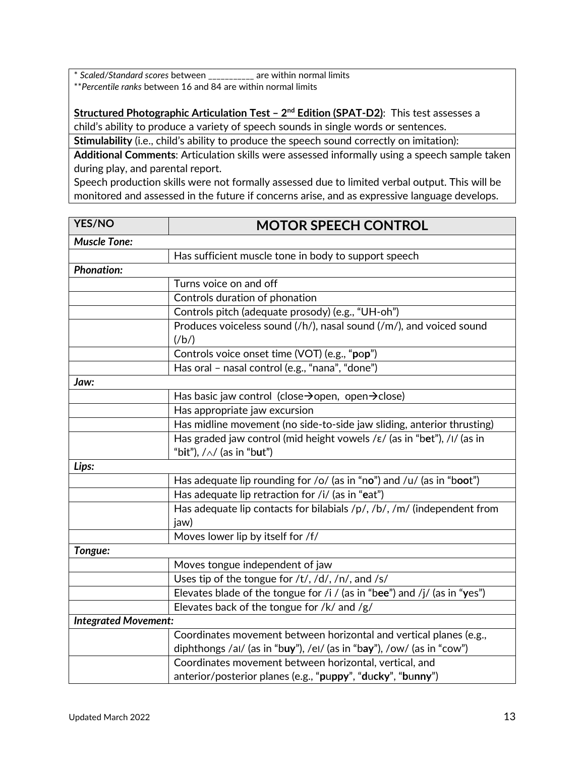\* *Scaled/Standard scores* between \_\_\_\_\_\_\_\_\_\_\_ are within normal limits \*\**Percentile ranks* between 16 and 84 are within normal limits

**Structured Photographic Articulation Test – 2nd Edition (SPAT-D2)**: This test assesses a child's ability to produce a variety of speech sounds in single words or sentences.

**Stimulability** (i.e., child's ability to produce the speech sound correctly on imitation):

**Additional Comments**: Articulation skills were assessed informally using a speech sample taken during play, and parental report.

Speech production skills were not formally assessed due to limited verbal output. This will be monitored and assessed in the future if concerns arise, and as expressive language develops.

| <b>YES/NO</b>               | <b>MOTOR SPEECH CONTROL</b>                                                           |  |  |
|-----------------------------|---------------------------------------------------------------------------------------|--|--|
| <b>Muscle Tone:</b>         |                                                                                       |  |  |
|                             | Has sufficient muscle tone in body to support speech                                  |  |  |
| <b>Phonation:</b>           |                                                                                       |  |  |
|                             | Turns voice on and off                                                                |  |  |
|                             | Controls duration of phonation                                                        |  |  |
|                             | Controls pitch (adequate prosody) (e.g., "UH-oh")                                     |  |  |
|                             | Produces voiceless sound (/h/), nasal sound (/m/), and voiced sound<br>$(\frac{b}{)$  |  |  |
|                             | Controls voice onset time (VOT) (e.g., "pop")                                         |  |  |
|                             | Has oral - nasal control (e.g., "nana", "done")                                       |  |  |
| Jaw:                        |                                                                                       |  |  |
|                             | Has basic jaw control (close→open, open→close)                                        |  |  |
|                             | Has appropriate jaw excursion                                                         |  |  |
|                             | Has midline movement (no side-to-side jaw sliding, anterior thrusting)                |  |  |
|                             | Has graded jaw control (mid height vowels / $\varepsilon$ / (as in "bet"), /I/ (as in |  |  |
|                             | "bit"), $/\wedge$ (as in "but")                                                       |  |  |
| Lips:                       |                                                                                       |  |  |
|                             | Has adequate lip rounding for /o/ (as in "no") and /u/ (as in "boot")                 |  |  |
|                             | Has adequate lip retraction for /i/ (as in "eat")                                     |  |  |
|                             | Has adequate lip contacts for bilabials /p/, /b/, /m/ (independent from<br>jaw)       |  |  |
|                             | Moves lower lip by itself for /f/                                                     |  |  |
| Tongue:                     |                                                                                       |  |  |
|                             | Moves tongue independent of jaw                                                       |  |  |
|                             | Uses tip of the tongue for /t/, /d/, /n/, and /s/                                     |  |  |
|                             | Elevates blade of the tongue for /i / (as in "bee") and /j/ (as in "yes")             |  |  |
|                             | Elevates back of the tongue for /k/ and /g/                                           |  |  |
| <b>Integrated Movement:</b> |                                                                                       |  |  |
|                             | Coordinates movement between horizontal and vertical planes (e.g.,                    |  |  |
|                             | diphthongs /al/ (as in "buy"), /el/ (as in "bay"), /ow/ (as in "cow")                 |  |  |
|                             | Coordinates movement between horizontal, vertical, and                                |  |  |
|                             | anterior/posterior planes (e.g., "puppy", "ducky", "bunny")                           |  |  |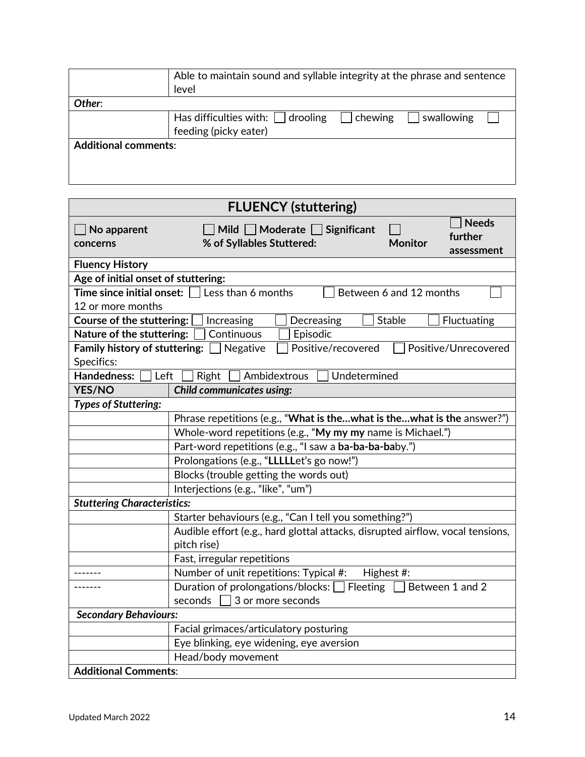|                             | Able to maintain sound and syllable integrity at the phrase and sentence |  |  |  |  |
|-----------------------------|--------------------------------------------------------------------------|--|--|--|--|
|                             | level                                                                    |  |  |  |  |
| Other:                      |                                                                          |  |  |  |  |
|                             | Has difficulties with: $\Box$ drooling<br>swallowing<br>$\vert$ chewing  |  |  |  |  |
|                             | feeding (picky eater)                                                    |  |  |  |  |
| <b>Additional comments:</b> |                                                                          |  |  |  |  |
|                             |                                                                          |  |  |  |  |
|                             |                                                                          |  |  |  |  |
|                             |                                                                          |  |  |  |  |

| <b>FLUENCY (stuttering)</b>                                                                   |                                                                                                                 |                         |                                       |  |
|-----------------------------------------------------------------------------------------------|-----------------------------------------------------------------------------------------------------------------|-------------------------|---------------------------------------|--|
| $\Box$ No apparent<br>concerns                                                                | Mild Moderate Significant<br>% of Syllables Stuttered:                                                          | <b>Monitor</b>          | <b>Needs</b><br>further<br>assessment |  |
| <b>Fluency History</b>                                                                        |                                                                                                                 |                         |                                       |  |
| Age of initial onset of stuttering:                                                           |                                                                                                                 |                         |                                       |  |
|                                                                                               | <b>Time since initial onset:</b> $\Box$ Less than 6 months                                                      | Between 6 and 12 months |                                       |  |
| 12 or more months                                                                             |                                                                                                                 |                         |                                       |  |
| Course of the stuttering:                                                                     | Increasing<br>Decreasing                                                                                        | Stable                  | Fluctuating                           |  |
| Nature of the stuttering:                                                                     | Continuous<br>Episodic                                                                                          |                         |                                       |  |
| Specifics:                                                                                    | <b>Family history of stuttering:</b> $\Box$ Negative<br>Positive/recovered                                      |                         | Positive/Unrecovered                  |  |
| Left<br>Ambidextrous<br>Undetermined<br><b>Handedness:</b><br>Right                           |                                                                                                                 |                         |                                       |  |
| <b>YES/NO</b>                                                                                 | <b>Child communicates using:</b>                                                                                |                         |                                       |  |
| <b>Types of Stuttering:</b>                                                                   |                                                                                                                 |                         |                                       |  |
|                                                                                               | Phrase repetitions (e.g., "What is thewhat is thewhat is the answer?")                                          |                         |                                       |  |
|                                                                                               | Whole-word repetitions (e.g., "My my my name is Michael.")                                                      |                         |                                       |  |
|                                                                                               | Part-word repetitions (e.g., "I saw a ba-ba-ba-baby.")                                                          |                         |                                       |  |
|                                                                                               | Prolongations (e.g., "LLLLLet's go now!")                                                                       |                         |                                       |  |
|                                                                                               | Blocks (trouble getting the words out)                                                                          |                         |                                       |  |
|                                                                                               | Interjections (e.g., "like", "um")                                                                              |                         |                                       |  |
| <b>Stuttering Characteristics:</b>                                                            |                                                                                                                 |                         |                                       |  |
|                                                                                               | Starter behaviours (e.g., "Can I tell you something?")                                                          |                         |                                       |  |
| Audible effort (e.g., hard glottal attacks, disrupted airflow, vocal tensions,<br>pitch rise) |                                                                                                                 |                         |                                       |  |
| Fast, irregular repetitions                                                                   |                                                                                                                 |                         |                                       |  |
|                                                                                               | Number of unit repetitions: Typical #:<br>Highest #:                                                            |                         |                                       |  |
|                                                                                               | Duration of prolongations/blocks: $\Box$ Fleeting $\Box$<br>Between 1 and 2<br>seconds $\Box$ 3 or more seconds |                         |                                       |  |
| <b>Secondary Behaviours:</b>                                                                  |                                                                                                                 |                         |                                       |  |
|                                                                                               | Facial grimaces/articulatory posturing                                                                          |                         |                                       |  |
|                                                                                               | Eye blinking, eye widening, eye aversion                                                                        |                         |                                       |  |
|                                                                                               | Head/body movement                                                                                              |                         |                                       |  |
| <b>Additional Comments:</b>                                                                   |                                                                                                                 |                         |                                       |  |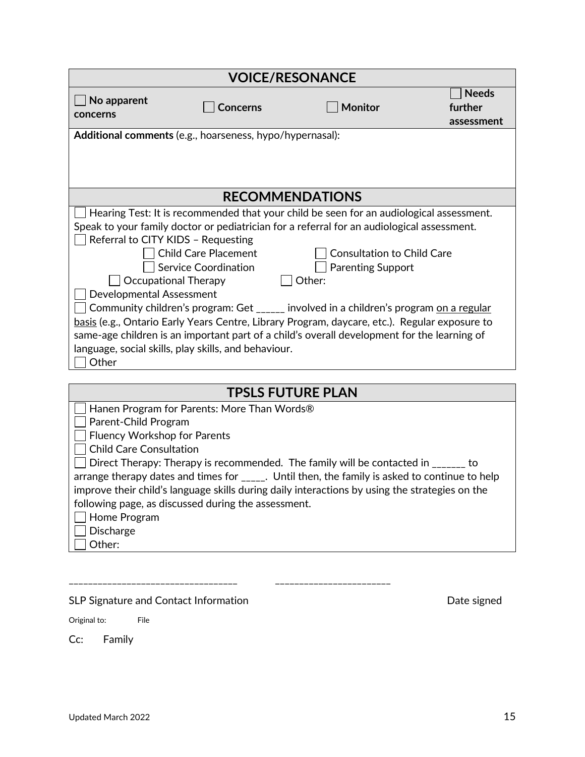| <b>VOICE/RESONANCE</b>                                                                      |                                             |                                                                                                         |                         |
|---------------------------------------------------------------------------------------------|---------------------------------------------|---------------------------------------------------------------------------------------------------------|-------------------------|
| No apparent                                                                                 | <b>Concerns</b>                             | <b>Monitor</b>                                                                                          | <b>Needs</b><br>further |
| concerns                                                                                    |                                             |                                                                                                         | assessment              |
| Additional comments (e.g., hoarseness, hypo/hypernasal):                                    |                                             |                                                                                                         |                         |
|                                                                                             |                                             |                                                                                                         |                         |
|                                                                                             |                                             |                                                                                                         |                         |
|                                                                                             |                                             |                                                                                                         |                         |
|                                                                                             |                                             | <b>RECOMMENDATIONS</b>                                                                                  |                         |
|                                                                                             |                                             | Hearing Test: It is recommended that your child be seen for an audiological assessment.                 |                         |
|                                                                                             |                                             | Speak to your family doctor or pediatrician for a referral for an audiological assessment.              |                         |
| Referral to CITY KIDS - Requesting                                                          |                                             |                                                                                                         |                         |
|                                                                                             | <b>Child Care Placement</b>                 | <b>Consultation to Child Care</b>                                                                       |                         |
|                                                                                             | <b>Service Coordination</b>                 | <b>Parenting Support</b>                                                                                |                         |
| <b>Occupational Therapy</b>                                                                 |                                             | Other:                                                                                                  |                         |
| Developmental Assessment                                                                    |                                             |                                                                                                         |                         |
|                                                                                             |                                             | Community children's program: Get _____ involved in a children's program on a regular                   |                         |
|                                                                                             |                                             | basis (e.g., Ontario Early Years Centre, Library Program, daycare, etc.). Regular exposure to           |                         |
| same-age children is an important part of a child's overall development for the learning of |                                             |                                                                                                         |                         |
| language, social skills, play skills, and behaviour.                                        |                                             |                                                                                                         |                         |
| Other                                                                                       |                                             |                                                                                                         |                         |
|                                                                                             |                                             |                                                                                                         |                         |
| <b>TPSLS FUTURE PLAN</b>                                                                    |                                             |                                                                                                         |                         |
|                                                                                             | Hanen Program for Parents: More Than Words® |                                                                                                         |                         |
| Parent-Child Program                                                                        |                                             |                                                                                                         |                         |
| Fluency Workshop for Parents                                                                |                                             |                                                                                                         |                         |
| <b>Child Care Consultation</b>                                                              |                                             |                                                                                                         |                         |
|                                                                                             |                                             | Direct Therapy: Therapy is recommended. The family will be contacted in _______ to                      |                         |
|                                                                                             |                                             | arrange therapy dates and times for $_{\text{2}}$ . Until then, the family is asked to continue to help |                         |
|                                                                                             |                                             | improve their child's language skills during daily interactions by using the strategies on the          |                         |

following page, as discussed during the assessment.

- Home Program
- □ Discharge
- $\Box$  Other:

\_\_\_\_\_\_\_\_\_\_\_\_\_\_\_\_\_\_\_\_\_\_\_\_\_\_\_\_\_\_\_\_\_\_\_ \_\_\_\_\_\_\_\_\_\_\_\_\_\_\_\_\_\_\_\_\_\_\_\_

SLP Signature and Contact Information and  $\blacksquare$ 

Original to: File

Cc: Family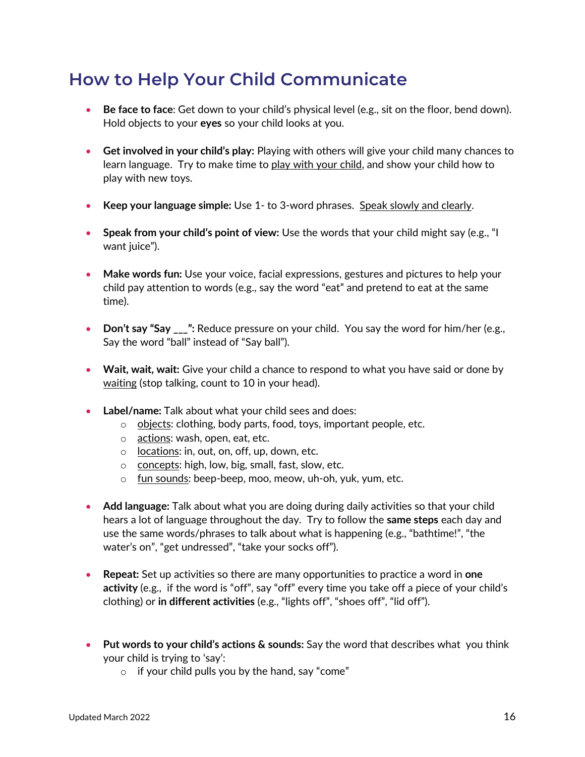## **How to Help Your Child Communicate**

- **Be face to face**: Get down to your child's physical level (e.g., sit on the floor, bend down). Hold objects to your **eyes** so your child looks at you.
- **Get involved in your child's play:** Playing with others will give your child many chances to learn language. Try to make time to play with your child, and show your child how to play with new toys.
- **Keep your language simple:** Use 1- to 3-word phrases. Speak slowly and clearly.
- **Speak from your child's point of view:** Use the words that your child might say (e.g., "I want juice").
- **Make words fun:** Use your voice, facial expressions, gestures and pictures to help your child pay attention to words (e.g., say the word "eat" and pretend to eat at the same time).
- **Don't say "Say \_\_\_":** Reduce pressure on your child. You say the word for him/her (e.g., Say the word "ball" instead of "Say ball").
- **Wait, wait, wait:** Give your child a chance to respond to what you have said or done by waiting (stop talking, count to 10 in your head).
- **Label/name:** Talk about what your child sees and does:
	- $\circ$  objects: clothing, body parts, food, toys, important people, etc.
	- o actions: wash, open, eat, etc.
	- o locations: in, out, on, off, up, down, etc.
	- o concepts: high, low, big, small, fast, slow, etc.
	- o fun sounds: beep-beep, moo, meow, uh-oh, yuk, yum, etc.
- **Add language:** Talk about what you are doing during daily activities so that your child hears a lot of language throughout the day. Try to follow the **same steps** each day and use the same words/phrases to talk about what is happening (e.g., "bathtime!", "the water's on", "get undressed", "take your socks off").
- **Repeat:** Set up activities so there are many opportunities to practice a word in **one activity** (e.g., if the word is "off", say "off" every time you take off a piece of your child's clothing) or **in different activities** (e.g., "lights off", "shoes off", "lid off").
- **Put words to your child's actions & sounds:** Say the word that describes what you think your child is trying to 'say':
	- $\circ$  if your child pulls you by the hand, say "come"